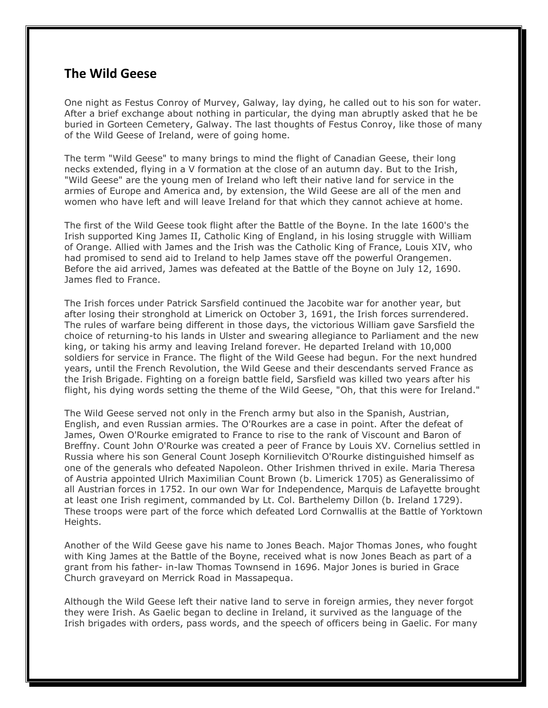## **The Wild Geese**

One night as Festus Conroy of Murvey, Galway, lay dying, he called out to his son for water. After a brief exchange about nothing in particular, the dying man abruptly asked that he be buried in Gorteen Cemetery, Galway. The last thoughts of Festus Conroy, like those of many of the Wild Geese of Ireland, were of going home.

The term "Wild Geese" to many brings to mind the flight of Canadian Geese, their long necks extended, flying in a V formation at the close of an autumn day. But to the Irish, "Wild Geese" are the young men of Ireland who left their native land for service in the armies of Europe and America and, by extension, the Wild Geese are all of the men and women who have left and will leave Ireland for that which they cannot achieve at home.

The first of the Wild Geese took flight after the Battle of the Boyne. In the late 1600's the Irish supported King James II, Catholic King of England, in his losing struggle with William of Orange. Allied with James and the Irish was the Catholic King of France, Louis XIV, who had promised to send aid to Ireland to help James stave off the powerful Orangemen. Before the aid arrived, James was defeated at the Battle of the Boyne on July 12, 1690. James fled to France.

The Irish forces under Patrick Sarsfield continued the Jacobite war for another year, but after losing their stronghold at Limerick on October 3, 1691, the Irish forces surrendered. The rules of warfare being different in those days, the victorious William gave Sarsfield the choice of returning-to his lands in Ulster and swearing allegiance to Parliament and the new king, or taking his army and leaving Ireland forever. He departed Ireland with 10,000 soldiers for service in France. The flight of the Wild Geese had begun. For the next hundred years, until the French Revolution, the Wild Geese and their descendants served France as the Irish Brigade. Fighting on a foreign battle field, Sarsfield was killed two years after his flight, his dying words setting the theme of the Wild Geese, "Oh, that this were for Ireland."

The Wild Geese served not only in the French army but also in the Spanish, Austrian, English, and even Russian armies. The O'Rourkes are a case in point. After the defeat of James, Owen O'Rourke emigrated to France to rise to the rank of Viscount and Baron of Breffny. Count John O'Rourke was created a peer of France by Louis XV. Cornelius settled in Russia where his son General Count Joseph Kornilievitch O'Rourke distinguished himself as one of the generals who defeated Napoleon. Other Irishmen thrived in exile. Maria Theresa of Austria appointed Ulrich Maximilian Count Brown (b. Limerick 1705) as Generalissimo of all Austrian forces in 1752. In our own War for Independence, Marquis de Lafayette brought at least one Irish regiment, commanded by Lt. Col. Barthelemy Dillon (b. Ireland 1729). These troops were part of the force which defeated Lord Cornwallis at the Battle of Yorktown Heights.

Another of the Wild Geese gave his name to Jones Beach. Major Thomas Jones, who fought with King James at the Battle of the Boyne, received what is now Jones Beach as part of a grant from his father- in-law Thomas Townsend in 1696. Major Jones is buried in Grace Church graveyard on Merrick Road in Massapequa.

Although the Wild Geese left their native land to serve in foreign armies, they never forgot they were Irish. As Gaelic began to decline in Ireland, it survived as the language of the Irish brigades with orders, pass words, and the speech of officers being in Gaelic. For many